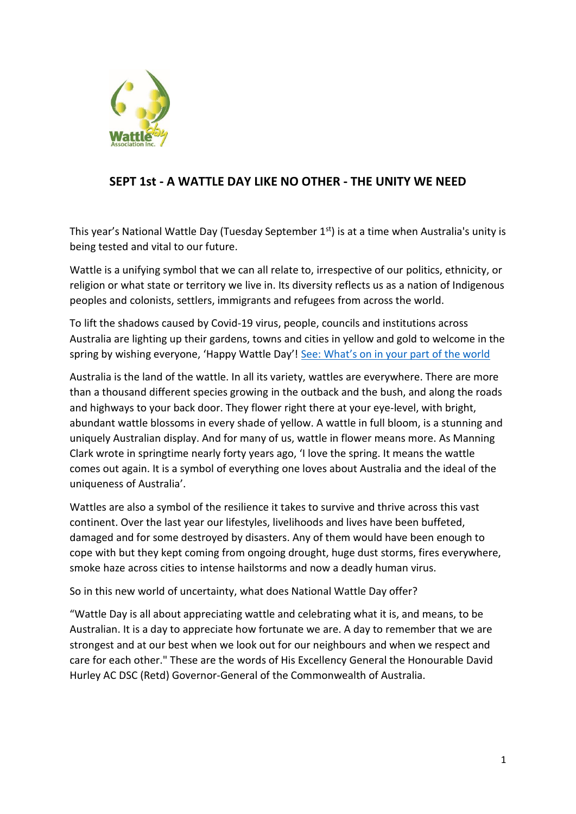

## **SEPT 1st - A WATTLE DAY LIKE NO OTHER - THE UNITY WE NEED**

This year's National Wattle Day (Tuesday September 1<sup>st</sup>) is at a time when Australia's unity is being tested and vital to our future.

Wattle is a unifying symbol that we can all relate to, irrespective of our politics, ethnicity, or religion or what state or territory we live in. Its diversity reflects us as a nation of Indigenous peoples and colonists, settlers, immigrants and refugees from across the world.

To lift the shadows caused by Covid-19 virus, people, councils and institutions across Australia are lighting up their gardens, towns and cities in yellow and gold to welcome in the spring by wishing everyone, 'Happy Wattle Day'! See: W[hat's on in your part of the world](http://www.wattleday.asn.au/about-wattle-day/2020-week-of-the-wattle-around-australia-1)

Australia is the land of the wattle. In all its variety, wattles are everywhere. There are more than a thousand different species growing in the outback and the bush, and along the roads and highways to your back door. They flower right there at your eye-level, with bright, abundant wattle blossoms in every shade of yellow. A wattle in full bloom, is a stunning and uniquely Australian display. And for many of us, wattle in flower means more. As Manning Clark wrote in springtime nearly forty years ago, 'I love the spring. It means the wattle comes out again. It is a symbol of everything one loves about Australia and the ideal of the uniqueness of Australia'.

Wattles are also a symbol of the resilience it takes to survive and thrive across this vast continent. Over the last year our lifestyles, livelihoods and lives have been buffeted, damaged and for some destroyed by disasters. Any of them would have been enough to cope with but they kept coming from ongoing drought, huge dust storms, fires everywhere, smoke haze across cities to intense hailstorms and now a deadly human virus.

So in this new world of uncertainty, what does National Wattle Day offer?

"Wattle Day is all about appreciating wattle and celebrating what it is, and means, to be Australian. It is a day to appreciate how fortunate we are. A day to remember that we are strongest and at our best when we look out for our neighbours and when we respect and care for each other." These are the words of His Excellency General the Honourable David Hurley AC DSC (Retd) Governor-General of the Commonwealth of Australia.